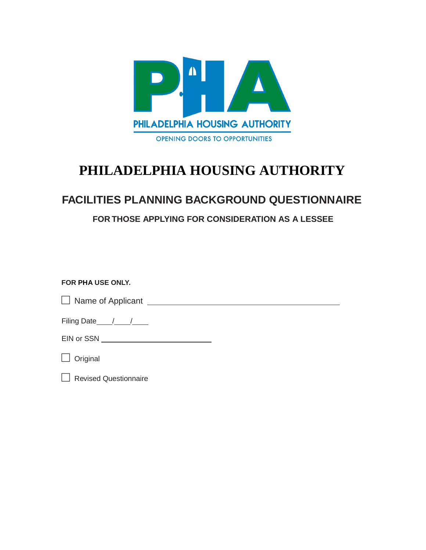

# **PHILADELPHIA HOUSING AUTHORITY**

## **FACILITIES PLANNING BACKGROUND QUESTIONNAIRE**

**FOR THOSE APPLYING FOR CONSIDERATION AS A LESSEE**

## **FOR PHA USE ONLY.**

Name of Applicant

Filing Date  $/$  /  $/$ 

EIN or SSN

 $\Box$  Original

Revised Questionnaire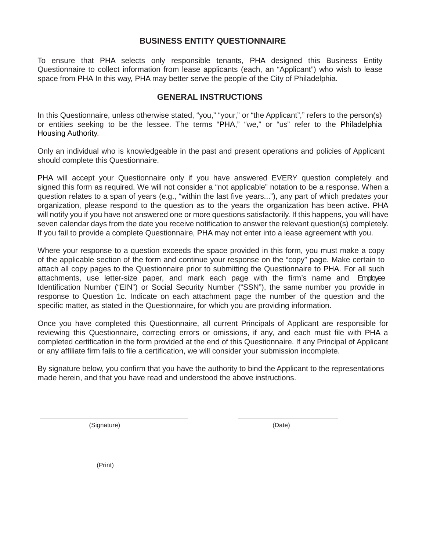## **BUSINESS ENTITY QUESTIONNAIRE**

To ensure that PHA selects only responsible tenants, PHA designed this Business Entity Questionnaire to collect information from lease applicants (each, an "Applicant") who wish to lease space from PHA In this way, PHA may better serve the people of the City of Philadelphia.

### **GENERAL INSTRUCTIONS**

In this Questionnaire, unless otherwise stated, "you," "your," or "the Applicant"," refers to the person(s) or entities seeking to be the lessee. The terms "PHA," "we," or "us" refer to the Philadelphia Housing Authority.

Only an individual who is knowledgeable in the past and present operations and policies of Applicant should complete this Questionnaire.

PHA will accept your Questionnaire only if you have answered EVERY question completely and signed this form as required. We will not consider a "not applicable" notation to be a response. When a question relates to a span of years (e.g., "within the last five years..."), any part of which predates your organization, please respond to the question as to the years the organization has been active. PHA will notify you if you have not answered one or more questions satisfactorily. If this happens, you will have seven calendar days from the date you receive notification to answer the relevant question(s) completely. If you fail to provide a complete Questionnaire, PHA may not enter into a lease agreement with you.

Where your response to a question exceeds the space provided in this form, you must make a copy of the applicable section of the form and continue your response on the "copy" page. Make certain to attach all copy pages to the Questionnaire prior to submitting the Questionnaire to PHA. For all such attachments, use letter-size paper, and mark each page with the firm's name and Employee Identification Number ("EIN") or Social Security Number ("SSN"), the same number you provide in response to Question 1c. Indicate on each attachment page the number of the question and the specific matter, as stated in the Questionnaire, for which you are providing information.

Once you have completed this Questionnaire, all current Principals of Applicant are responsible for reviewing this Questionnaire, correcting errors or omissions, if any, and each must file with PHA a completed certification in the form provided at the end of this Questionnaire. If any Principal of Applicant or any affiliate firm fails to file a certification, we will consider your submission incomplete.

By signature below, you confirm that you have the authority to bind the Applicant to the representations made herein, and that you have read and understood the above instructions.

(Signature) (Date)

(Print)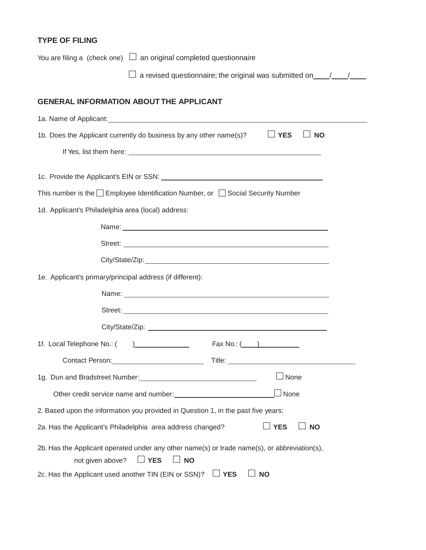## **TYPE OF FILING**

| You are filing a (check one) $\Box$ an original completed questionnaire                                                                                                                                                              |
|--------------------------------------------------------------------------------------------------------------------------------------------------------------------------------------------------------------------------------------|
| $\Box$ a revised questionnaire; the original was submitted on $\Box$                                                                                                                                                                 |
| <b>GENERAL INFORMATION ABOUT THE APPLICANT</b>                                                                                                                                                                                       |
|                                                                                                                                                                                                                                      |
| 1b. Does the Applicant currently do business by any other name(s)?<br>$\Box$ YES<br><b>NO</b>                                                                                                                                        |
| If Yes, list them here: <u>example and the set of the set of the set of the set of the set of the set of the set of the set of the set of the set of the set of the set of the set of the set of the set of the set of the set o</u> |
|                                                                                                                                                                                                                                      |
| This number is the $\Box$ Employee Identification Number, or $\Box$ Social Security Number                                                                                                                                           |
| 1d. Applicant's Philadelphia area (local) address:                                                                                                                                                                                   |
|                                                                                                                                                                                                                                      |
|                                                                                                                                                                                                                                      |
|                                                                                                                                                                                                                                      |
| 1e. Applicant's primary/principal address (if different):                                                                                                                                                                            |
|                                                                                                                                                                                                                                      |
|                                                                                                                                                                                                                                      |
|                                                                                                                                                                                                                                      |
|                                                                                                                                                                                                                                      |
| Contact Person: Title: Title: Title: Title: Title: Title: Title: Title: Title: Title: Title: Title: Title: Title: Title: Title: Title: Title: Title: Title: Title: Title: Title: Title: Title: Title: Title: Title: Title: Tit       |
| ∫None<br>1g. Dun and Bradstreet Number:<br>19. Dun and Bradstreet Number:                                                                                                                                                            |
| ⊿None<br>Other credit service name and number:<br><u> 1989 - Jan Barbara III, martxa</u>                                                                                                                                             |
| 2. Based upon the information you provided in Question 1, in the past five years:                                                                                                                                                    |
| <b>YES</b><br><b>NO</b><br>2a. Has the Applicant's Philadelphia area address changed?                                                                                                                                                |
| 2b. Has the Applicant operated under any other name(s) or trade name(s), or abbreviation(s),<br><b>YES</b><br><b>NO</b><br>not given above?                                                                                          |
| 2c. Has the Applicant used another TIN (EIN or SSN)?<br><b>YES</b><br><b>NO</b>                                                                                                                                                      |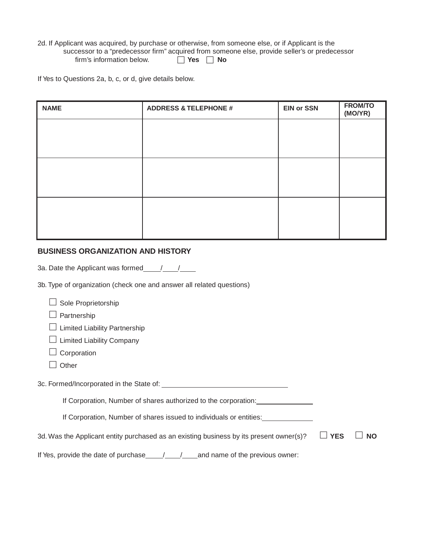2d. If Applicant was acquired, by purchase or otherwise, from someone else, or if Applicant is the successor to a "predecessor firm" acquired from someone else, provide seller's or predecessor<br>firm's information below.  $\Box$  Yes  $\Box$  No firm's information below.

If Yes to Questions 2a, b, c, or d, give details below.

| <b>NAME</b> | <b>ADDRESS &amp; TELEPHONE #</b> | <b>EIN or SSN</b> | <b>FROM/TO</b><br>(MO/YR) |
|-------------|----------------------------------|-------------------|---------------------------|
|             |                                  |                   |                           |
|             |                                  |                   |                           |
|             |                                  |                   |                           |
|             |                                  |                   |                           |
|             |                                  |                   |                           |
|             |                                  |                   |                           |

#### **BUSINESS ORGANIZATION AND HISTORY**

3a. Date the Applicant was formed  $/$  /

3b. Type of organization (check one and answer all related questions)

| Sole Proprietorship                                                                     |            |           |
|-----------------------------------------------------------------------------------------|------------|-----------|
| Partnership                                                                             |            |           |
| <b>Limited Liability Partnership</b>                                                    |            |           |
| <b>Limited Liability Company</b>                                                        |            |           |
| Corporation                                                                             |            |           |
| Other                                                                                   |            |           |
| 3c. Formed/Incorporated in the State of:                                                |            |           |
| If Corporation, Number of shares authorized to the corporation:                         |            |           |
| If Corporation, Number of shares issued to individuals or entities:                     |            |           |
| 3d. Was the Applicant entity purchased as an existing business by its present owner(s)? | <b>YES</b> | <b>NO</b> |
| If Yes, provide the date of purchase / /<br>and name of the previous owner:             |            |           |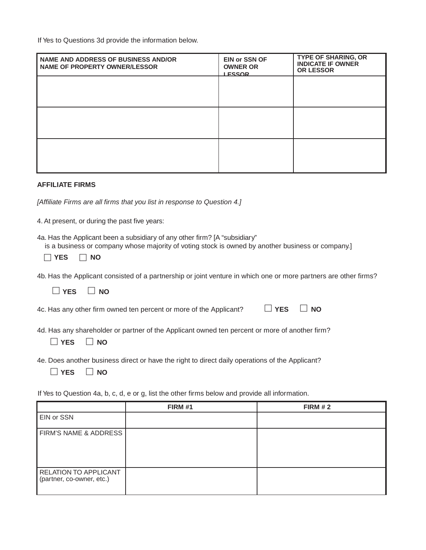If Yes to Questions 3d provide the information below.

| NAME AND ADDRESS OF BUSINESS AND/OR<br><b>NAME OF PROPERTY OWNER/LESSOR</b> | <b>EIN or SSN OF</b><br><b>OWNER OR</b><br><b>I ESSOR</b> | <b>TYPE OF SHARING, OR</b><br><b>INDICATE IF OWNER</b><br>OR LESSOR |
|-----------------------------------------------------------------------------|-----------------------------------------------------------|---------------------------------------------------------------------|
|                                                                             |                                                           |                                                                     |
|                                                                             |                                                           |                                                                     |
|                                                                             |                                                           |                                                                     |
|                                                                             |                                                           |                                                                     |

#### **AFFILIATE FIRMS**

*[Affiliate Firms are all firms that you list in response to Question 4.]*

4. At present, or during the past five years:

4a. Has the Applicant been a subsidiary of any other firm? [A "subsidiary"

|  |  |  | is a business or company whose majority of voting stock is owned by another business or company.] |  |
|--|--|--|---------------------------------------------------------------------------------------------------|--|
|  |  |  |                                                                                                   |  |
|  |  |  |                                                                                                   |  |

| 4b. Has the Applicant consisted of a partnership or joint venture in which one or more partners are other firms? |  |  |  |  |
|------------------------------------------------------------------------------------------------------------------|--|--|--|--|
|                                                                                                                  |  |  |  |  |

**YES NO**

4c. Has any other firm owned ten percent or more of the Applicant? **YES NO**

| ı |  | ł |
|---|--|---|
|---|--|---|

4d. Has any shareholder or partner of the Applicant owned ten percent or more of another firm?

 $\Box$  YES  $\Box$  NO

4e. Does another business direct or have the right to direct daily operations of the Applicant?

|  | ∼<br>п |
|--|--------|
|--|--------|

If Yes to Question 4a, b, c, d, e or g, list the other firms below and provide all information.

|                                                           | <b>FIRM #1</b> | <b>FIRM #2</b> |
|-----------------------------------------------------------|----------------|----------------|
| <b>EIN or SSN</b>                                         |                |                |
| <b>FIRM'S NAME &amp; ADDRESS</b>                          |                |                |
| <b>RELATION TO APPLICANT</b><br>(partner, co-owner, etc.) |                |                |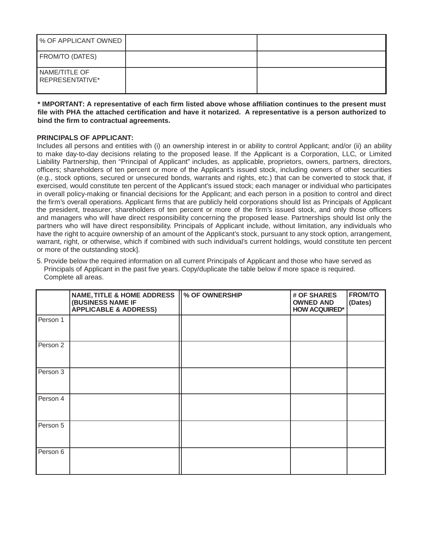| ▌% OF APPLICANT OWNED            |  |
|----------------------------------|--|
| <b>FROM/TO (DATES)</b>           |  |
| NAME/TITLE OF<br>REPRESENTATIVE* |  |

**\* IMPORTANT: A representative of each firm listed above whose affiliation continues to the present must file with PHA the attached certification and have it notarized. A representative is a person authorized to bind the firm to contractual agreements.**

#### **PRINCIPALS OF APPLICANT:**

Includes all persons and entities with (i) an ownership interest in or ability to control Applicant; and/or (ii) an ability to make day-to-day decisions relating to the proposed lease. If the Applicant is a Corporation, LLC, or Limited Liability Partnership, then "Principal of Applicant" includes, as applicable, proprietors, owners, partners, directors, officers; shareholders of ten percent or more of the Applicant's issued stock, including owners of other securities (e.g., stock options, secured or unsecured bonds, warrants and rights, etc.) that can be converted to stock that, if exercised, would constitute ten percent of the Applicant's issued stock; each manager or individual who participates in overall policy-making or financial decisions for the Applicant; and each person in a position to control and direct the firm's overall operations. Applicant firms that are publicly held corporations should list as Principals of Applicant the president, treasurer, shareholders of ten percent or more of the firm's issued stock, and only those officers and managers who will have direct responsibility concerning the proposed lease. Partnerships should list only the partners who will have direct responsibility. Principals of Applicant include, without limitation, any individuals who have the right to acquire ownership of an amount of the Applicant's stock, pursuant to any stock option, arrangement, warrant, right, or otherwise, which if combined with such individual's current holdings, would constitute ten percent or more of the outstanding stock].

5. Provide below the required information on all current Principals of Applicant and those who have served as Principals of Applicant in the past five years. Copy/duplicate the table below if more space is required. Complete all areas.

|          | NAME, TITLE & HOME ADDRESS   % OF OWNERSHIP<br>(BUSINESS NAME IF<br><b>APPLICABLE &amp; ADDRESS)</b> | # OF SHARES<br><b>OWNED AND</b><br><b>HOW ACQUIRED*</b> | <b>FROM/TO</b><br>(Dates) |
|----------|------------------------------------------------------------------------------------------------------|---------------------------------------------------------|---------------------------|
| Person 1 |                                                                                                      |                                                         |                           |
| Person 2 |                                                                                                      |                                                         |                           |
| Person 3 |                                                                                                      |                                                         |                           |
| Person 4 |                                                                                                      |                                                         |                           |
| Person 5 |                                                                                                      |                                                         |                           |
| Person 6 |                                                                                                      |                                                         |                           |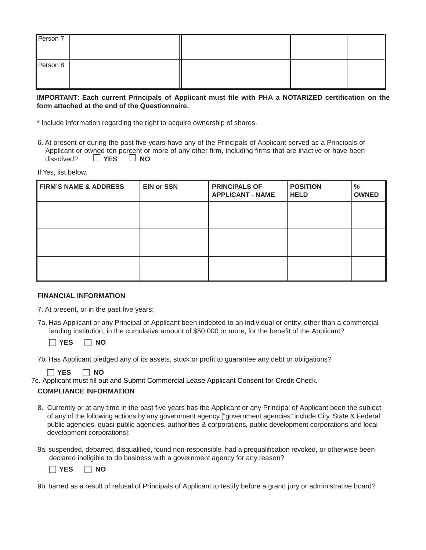| Person 7 |  |  |
|----------|--|--|
| Person 8 |  |  |

#### **IMPORTANT: Each current Principals of Applicant must file with PHA a NOTARIZED certification on the form attached at the end of the Questionnaire.**

\* Include information regarding the right to acquire ownership of shares.

6. At present or during the past five years have any of the Principals of Applicant served as a Principals of Applicant or owned ten percent or more of any other firm, including firms that are inactive or have been dissolved? **YES NO**

If Yes, list below.

| <b>FIRM'S NAME &amp; ADDRESS</b> | <b>EIN or SSN</b> | <b>PRINCIPALS OF</b><br><b>APPLICANT - NAME</b> | <b>POSITION</b><br><b>HELD</b> | $\frac{9}{6}$<br><b>OWNED</b> |
|----------------------------------|-------------------|-------------------------------------------------|--------------------------------|-------------------------------|
|                                  |                   |                                                 |                                |                               |
|                                  |                   |                                                 |                                |                               |
|                                  |                   |                                                 |                                |                               |
|                                  |                   |                                                 |                                |                               |

#### **FINANCIAL INFORMATION**

- 7. At present, or in the past five years:
- 7a. Has Applicant or any Principal of Applicant been indebted to an individual or entity, other than a commercial lending institution, in the cumulative amount of \$50,000 or more, for the benefit of the Applicant?

 $\Box$  **YES**  $\Box$  **NO** 

7b. Has Applicant pledged any of its assets, stock or profit to guarantee any debt or obligations?

 $\Box$  **YES**  $\Box$  **NO** 

7c. Applicant must fill out and Submit Commercial Lease Applicant Consent for Credit Check.

#### **COMPLIANCE INFORMATION**

- 8. Currently or at any time in the past five years has the Applicant or any Principal of Applicant been the subject of any of the following actions by any government agency ["government agencies" include City, State & Federal public agencies, quasi-public agencies, authorities & corporations, public development corporations and local development corporations]:
- 9a. suspended, debarred, disqualified, found non-responsible, had a prequalification revoked, or otherwise been declared ineligible to do business with a government agency for any reason?

 $\Box$  **YES**  $\Box$  **NO** 

<sup>9</sup>b. barred as a result of refusal of Principals of Applicant to testify before a grand jury or administrative board?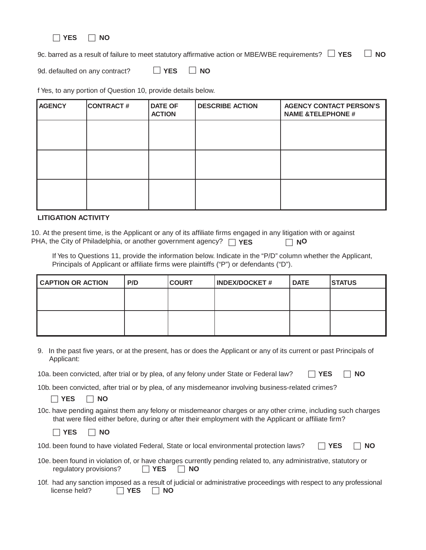

9c. barred as a result of failure to meet statutory affirmative action or MBE/WBE requirements?  $\Box$  YES  $\Box$  NO

9d. defaulted on any contract?  $\Box$  **YES**  $\Box$  **NO** 

f Yes, to any portion of Question 10, provide details below.

| <b>AGENCY</b> | <b>CONTRACT#</b> | <b>DATE OF</b><br><b>ACTION</b> | <b>DESCRIBE ACTION</b> | <b>AGENCY CONTACT PERSON'S</b><br><b>NAME &amp;TELEPHONE #</b> |
|---------------|------------------|---------------------------------|------------------------|----------------------------------------------------------------|
|               |                  |                                 |                        |                                                                |
|               |                  |                                 |                        |                                                                |
|               |                  |                                 |                        |                                                                |
|               |                  |                                 |                        |                                                                |
|               |                  |                                 |                        |                                                                |

#### **LITIGATION ACTIVITY**

10. At the present time, is the Applicant or any of its affiliate firms engaged in any litigation with or against PHA, the City of Philadelphia, or another government agency? **□ YES NO** 

If Yes to Questions 11, provide the information below. Indicate in the "P/D" column whether the Applicant, Principals of Applicant or affiliate firms were plaintiffs ("P") or defendants ("D").

| <b>CAPTION OR ACTION</b> | P/D | <b>COURT</b> | <b>INDEX/DOCKET#</b> | <b>DATE</b> | <b>STATUS</b> |
|--------------------------|-----|--------------|----------------------|-------------|---------------|
|                          |     |              |                      |             |               |
|                          |     |              |                      |             |               |
|                          |     |              |                      |             |               |
|                          |     |              |                      |             |               |

9. In the past five years, or at the present, has or does the Applicant or any of its current or past Principals of Applicant:

|  | 10a. been convicted, after trial or by plea, of any felony under State or Federal law? $\Box$ YES $\Box$ NO |  |
|--|-------------------------------------------------------------------------------------------------------------|--|
|--|-------------------------------------------------------------------------------------------------------------|--|

10b. been convicted, after trial or by plea, of any misdemeanor involving business-related crimes?

 $\Box$  YES  $\Box$  NO

10c. have pending against them any felony or misdemeanor charges or any other crime, including such charges that were filed either before, during or after their employment with the Applicant or affiliate firm?

|--|--|

- 10d. been found to have violated Federal, State or local environmental protection laws?  $\Box$  **YES**  $\Box$  **NO**
- 10e. been found in violation of, or have charges currently pending related to, any administrative, statutory or regulatory provisions? **YES NO**
- 10f. had any sanction imposed as a result of judicial or administrative proceedings with respect to any professional license held? **YES NO**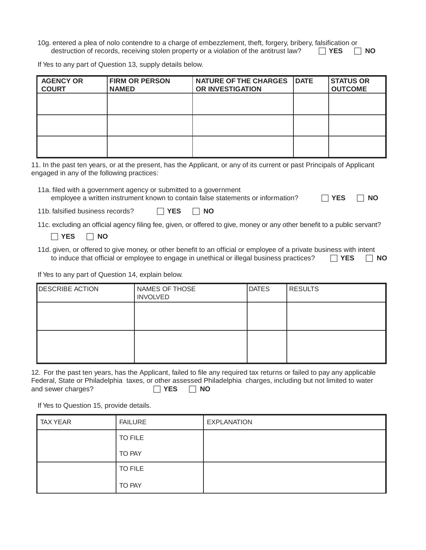10g. entered a plea of nolo contendre to a charge of embezzlement, theft, forgery, bribery, falsification or destruction of records, receiving stolen property or a violation of the antitrust law? **YES NO**

If Yes to any part of Question 13, supply details below.

| <b>AGENCY OR</b><br><b>COURT</b> | <b>FIRM OR PERSON</b><br><b>NAMED</b> | NATURE OF THE CHARGES   DATE<br><b>OR INVESTIGATION</b> | <b>STATUS OR</b><br><b>OUTCOME</b> |
|----------------------------------|---------------------------------------|---------------------------------------------------------|------------------------------------|
|                                  |                                       |                                                         |                                    |
|                                  |                                       |                                                         |                                    |
|                                  |                                       |                                                         |                                    |

11. In the past ten years, or at the present, has the Applicant, or any of its current or past Principals of Applicant engaged in any of the following practices:

11a. filed with a government agency or submitted to a government

| employee a written instrument known to contain false statements or information? | $\Box$ YES $\Box$ NO |  |
|---------------------------------------------------------------------------------|----------------------|--|
|---------------------------------------------------------------------------------|----------------------|--|

|--|--|

| 11b. falsified business records? | $\Box$ YES | $\Box$ NO |
|----------------------------------|------------|-----------|
|----------------------------------|------------|-----------|

11c. excluding an official agency filing fee, given, or offered to give, money or any other benefit to a public servant?

 $\Box$  **YES**  $\Box$  **NO** 

11d. given, or offered to give money, or other benefit to an official or employee of a private business with intent to induce that official or employee to engage in unethical or illegal business practices? **YES NO**

If Yes to any part of Question 14, explain below.

| <b>DESCRIBE ACTION</b> | NAMES OF THOSE<br><b>INVOLVED</b> | <b>DATES</b> | <b>RESULTS</b> |
|------------------------|-----------------------------------|--------------|----------------|
|                        |                                   |              |                |
|                        |                                   |              |                |

12. For the past ten years, has the Applicant, failed to file any required tax returns or failed to pay any applicable Federal, State or Philadelphia taxes, or other assessed Philadelphia charges, including but not limited to water and sewer charges? **ICC YES NO** 

If Yes to Question 15, provide details.

| <b>TAX YEAR</b> | <b>FAILURE</b> | <b>EXPLANATION</b> |
|-----------------|----------------|--------------------|
|                 | <b>TO FILE</b> |                    |
|                 | TO PAY         |                    |
|                 | <b>TO FILE</b> |                    |
|                 | TO PAY         |                    |